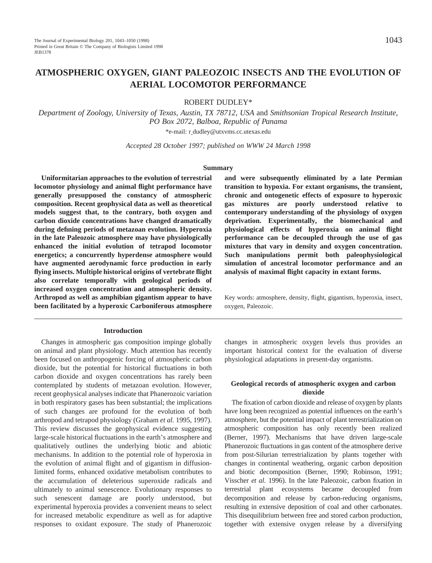# **ATMOSPHERIC OXYGEN, GIANT PALEOZOIC INSECTS AND THE EVOLUTION OF AERIAL LOCOMOTOR PERFORMANCE**

ROBERT DUDLEY\*

*Department of Zoology, University of Texas, Austin, TX 78712, USA* and *Smithsonian Tropical Research Institute, PO Box 2072, Balboa, Republic of Panama*

\*e-mail: r dudley@utxvms.cc.utexas.edu

*Accepted 28 October 1997; published on WWW 24 March 1998*

#### **Summary**

**Uniformitarian approaches to the evolution of terrestrial locomotor physiology and animal flight performance have generally presupposed the constancy of atmospheric composition. Recent geophysical data as well as theoretical models suggest that, to the contrary, both oxygen and carbon dioxide concentrations have changed dramatically during defining periods of metazoan evolution. Hyperoxia in the late Paleozoic atmosphere may have physiologically enhanced the initial evolution of tetrapod locomotor energetics; a concurrently hyperdense atmosphere would have augmented aerodynamic force production in early flying insects. Multiple historical origins of vertebrate flight also correlate temporally with geological periods of increased oxygen concentration and atmospheric density. Arthropod as well as amphibian gigantism appear to have been facilitated by a hyperoxic Carboniferous atmosphere**

#### **Introduction**

Changes in atmospheric gas composition impinge globally on animal and plant physiology. Much attention has recently been focused on anthropogenic forcing of atmospheric carbon dioxide, but the potential for historical fluctuations in both carbon dioxide and oxygen concentrations has rarely been contemplated by students of metazoan evolution. However, recent geophysical analyses indicate that Phanerozoic variation in both respiratory gases has been substantial; the implications of such changes are profound for the evolution of both arthropod and tetrapod physiology (Graham *et al.* 1995, 1997). This review discusses the geophysical evidence suggesting large-scale historical fluctuations in the earth's atmosphere and qualitatively outlines the underlying biotic and abiotic mechanisms. In addition to the potential role of hyperoxia in the evolution of animal flight and of gigantism in diffusionlimited forms, enhanced oxidative metabolism contributes to the accumulation of deleterious superoxide radicals and ultimately to animal senescence. Evolutionary responses to such senescent damage are poorly understood, but experimental hyperoxia provides a convenient means to select for increased metabolic expenditure as well as for adaptive responses to oxidant exposure. The study of Phanerozoic

**and were subsequently eliminated by a late Permian transition to hypoxia. For extant organisms, the transient, chronic and ontogenetic effects of exposure to hyperoxic gas mixtures are poorly understood relative to contemporary understanding of the physiology of oxygen deprivation. Experimentally, the biomechanical and physiological effects of hyperoxia on animal flight performance can be decoupled through the use of gas mixtures that vary in density and oxygen concentration. Such manipulations permit both paleophysiological simulation of ancestral locomotor performance and an analysis of maximal flight capacity in extant forms.**

Key words: atmosphere, density, flight, gigantism, hyperoxia, insect, oxygen, Paleozoic.

changes in atmospheric oxygen levels thus provides an important historical context for the evaluation of diverse physiological adaptations in present-day organisms.

### **Geological records of atmospheric oxygen and carbon dioxide**

The fixation of carbon dioxide and release of oxygen by plants have long been recognized as potential influences on the earth's atmosphere, but the potential impact of plant terrestrialization on atmospheric composition has only recently been realized (Berner, 1997). Mechanisms that have driven large-scale Phanerozoic fluctuations in gas content of the atmosphere derive from post-Silurian terrestrialization by plants together with changes in continental weathering, organic carbon deposition and biotic decomposition (Berner, 1990; Robinson, 1991; Visscher *et al.* 1996). In the late Paleozoic, carbon fixation in terrestrial plant ecosystems became decoupled from decomposition and release by carbon-reducing organisms, resulting in extensive deposition of coal and other carbonates. This disequilibrium between free and stored carbon production, together with extensive oxygen release by a diversifying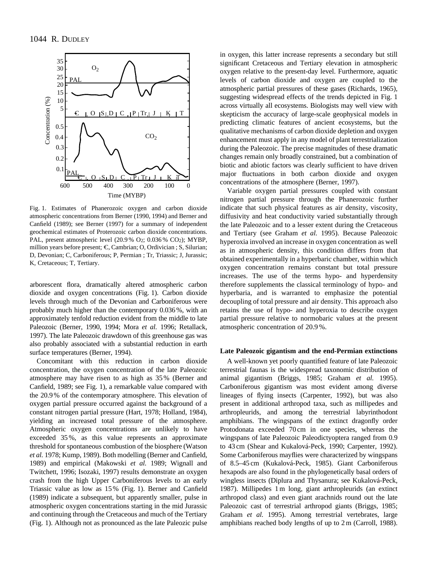

Fig. 1. Estimates of Phanerozoic oxygen and carbon dioxide atmospheric concentrations from Berner (1990, 1994) and Berner and Canfield (1989); see Berner (1997) for a summary of independent geochemical estimates of Proterozoic carbon dioxide concentrations. PAL, present atmospheric level (20.9 % O<sub>2</sub>; 0.036 % CO<sub>2</sub>); MYBP, million years before present;  $C$ , Cambrian; O, Ordivician ; S, Silurian; D, Devonian; C, Carboniferous; P, Permian ; Tr, Triassic; J, Jurassic; K, Cretaceous; T, Tertiary.

arborescent flora, dramatically altered atmospheric carbon dioxide and oxygen concentrations (Fig. 1). Carbon dioxide levels through much of the Devonian and Carboniferous were probably much higher than the contemporary 0.036 %, with an approximately tenfold reduction evident from the middle to late Paleozoic (Berner, 1990, 1994; Mora *et al.* 1996; Retallack, 1997). The late Paleozoic drawdown of this greenhouse gas was also probably associated with a substantial reduction in earth surface temperatures (Berner, 1994).

Concomitant with this reduction in carbon dioxide concentration, the oxygen concentration of the late Paleozoic atmosphere may have risen to as high as 35 % (Berner and Canfield, 1989; see Fig. 1), a remarkable value compared with the 20.9 % of the contemporary atmosphere. This elevation of oxygen partial pressure occurred against the background of a constant nitrogen partial pressure (Hart, 1978; Holland, 1984), yielding an increased total pressure of the atmosphere. Atmospheric oxygen concentrations are unlikely to have exceeded 35 %, as this value represents an approximate threshold for spontaneous combustion of the biosphere (Watson *et al.* 1978; Kump, 1989). Both modelling (Berner and Canfield, 1989) and empirical (Makowski *et al.* 1989; Wignall and Twitchett, 1996; Isozaki, 1997) results demonstrate an oxygen crash from the high Upper Carboniferous levels to an early Triassic value as low as 15 % (Fig. 1). Berner and Canfield (1989) indicate a subsequent, but apparently smaller, pulse in atmospheric oxygen concentrations starting in the mid Jurassic and continuing through the Cretaceous and much of the Tertiary (Fig. 1). Although not as pronounced as the late Paleozic pulse

in oxygen, this latter increase represents a secondary but still significant Cretaceous and Tertiary elevation in atmospheric oxygen relative to the present-day level. Furthermore, aquatic levels of carbon dioxide and oxygen are coupled to the atmospheric partial pressures of these gases (Richards, 1965), suggesting widespread effects of the trends depicted in Fig. 1 across virtually all ecosystems. Biologists may well view with skepticism the accuracy of large-scale geophysical models in predicting climatic features of ancient ecosystems, but the qualitative mechanisms of carbon dioxide depletion and oxygen enhancement must apply in any model of plant terrestrialization during the Paleozoic. The precise magnitudes of these dramatic changes remain only broadly constrained, but a combination of biotic and abiotic factors was clearly sufficient to have driven major fluctuations in both carbon dioxide and oxygen concentrations of the atmosphere (Berner, 1997).

Variable oxygen partial pressures coupled with constant nitrogen partial pressure through the Phanerozoic further indicate that such physical features as air density, viscosity, diffusivity and heat conductivity varied substantially through the late Paleozoic and to a lesser extent during the Cretaceous and Tertiary (see Graham *et al.* 1995). Because Paleozoic hyperoxia involved an increase in oxygen concentration as well as in atmospheric density, this condition differs from that obtained experimentally in a hyperbaric chamber, within which oxygen concentration remains constant but total pressure increases. The use of the terms hypo- and hyperdensity therefore supplements the classical terminology of hypo- and hyperbaria, and is warranted to emphasize the potential decoupling of total pressure and air density. This approach also retains the use of hypo- and hyperoxia to describe oxygen partial pressure relative to normobaric values at the present atmospheric concentration of 20.9 %.

#### **Late Paleozoic gigantism and the end-Permian extinctions**

A well-known yet poorly quantified feature of late Paleozoic terrestrial faunas is the widespread taxonomic distribution of animal gigantism (Briggs, 1985; Graham *et al.* 1995). Carboniferous gigantism was most evident among diverse lineages of flying insects (Carpenter, 1992), but was also present in additional arthropod taxa, such as millipedes and arthropleurids, and among the terrestrial labyrinthodont amphibians. The wingspans of the extinct dragonfly order Protodonata exceeded 70 cm in one species, whereas the wingspans of late Paleozoic Paleodictyoptera ranged from 0.9 to 43 cm (Shear and Kukalová-Peck, 1990; Carpenter, 1992). Some Carboniferous mayflies were characterized by wingspans of 8.5–45 cm (Kukalová-Peck, 1985). Giant Carboniferous hexapods are also found in the phylogenetically basal orders of wingless insects (Diplura and Thysanura; see Kukalová-Peck, 1987). Millipedes 1 m long, giant arthropleurids (an extinct arthropod class) and even giant arachnids round out the late Paleozoic cast of terrestrial arthropod giants (Briggs, 1985; Graham *et al.* 1995). Among terrestrial vertebrates, large amphibians reached body lengths of up to 2 m (Carroll, 1988).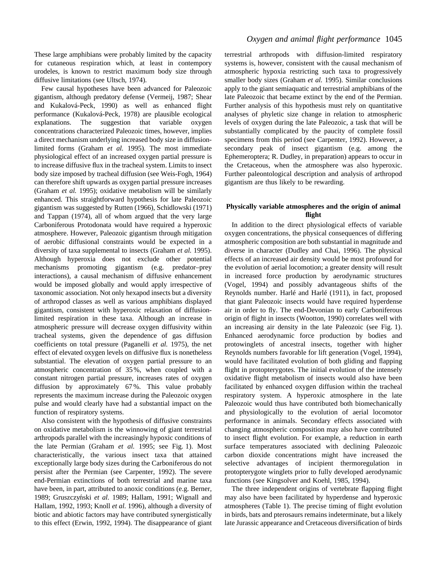These large amphibians were probably limited by the capacity for cutaneous respiration which, at least in contempory urodeles, is known to restrict maximum body size through diffusive limitations (see Ultsch, 1974).

Few causal hypotheses have been advanced for Paleozoic gigantism, although predatory defense (Vermeij, 1987; Shear and Kukalová-Peck, 1990) as well as enhanced flight performance (Kukalová-Peck, 1978) are plausible ecological explanations. The suggestion that variable oxygen concentrations characterized Paleozoic times, however, implies a direct mechanism underlying increased body size in diffusionlimited forms (Graham *et al.* 1995). The most immediate physiological effect of an increased oxygen partial pressure is to increase diffusive flux in the tracheal system. Limits to insect body size imposed by tracheal diffusion (see Weis-Fogh, 1964) can therefore shift upwards as oxygen partial pressure increases (Graham *et al.* 1995); oxidative metabolism will be similarly enhanced. This straightforward hypothesis for late Paleozoic gigantism was suggested by Rutten (1966), Schidlowski (1971) and Tappan (1974), all of whom argued that the very large Carboniferous Protodonata would have required a hyperoxic atmosphere. However, Paleozoic gigantism through mitigation of aerobic diffusional constraints would be expected in a diversity of taxa supplemental to insects (Graham *et al.* 1995). Although hyperoxia does not exclude other potential mechanisms promoting gigantism (e.g. predator–prey interactions), a causal mechanism of diffusive enhancement would be imposed globally and would apply irrespective of taxonomic association. Not only hexapod insects but a diversity of arthropod classes as well as various amphibians displayed gigantism, consistent with hyperoxic relaxation of diffusionlimited respiration in these taxa. Although an increase in atmospheric pressure will decrease oxygen diffusivity within tracheal systems, given the dependence of gas diffusion coefficients on total pressure (Paganelli *et al.* 1975), the net effect of elevated oxygen levels on diffusive flux is nonetheless substantial. The elevation of oxygen partial pressure to an atmospheric concentration of 35 %, when coupled with a constant nitrogen partial pressure, increases rates of oxygen diffusion by approximately 67 %. This value probably represents the maximum increase during the Paleozoic oxygen pulse and would clearly have had a substantial impact on the function of respiratory systems.

Also consistent with the hypothesis of diffusive constraints on oxidative metabolism is the winnowing of giant terrestrial arthropods parallel with the increasingly hypoxic conditions of the late Permian (Graham *et al.* 1995; see Fig. 1). Most characteristically, the various insect taxa that attained exceptionally large body sizes during the Carboniferous do not persist after the Permian (see Carpenter, 1992). The severe end-Permian extinctions of both terrestrial and marine taxa have been, in part, attributed to anoxic conditions (e.g. Berner, 1989; Gruszczyński et al. 1989; Hallam, 1991; Wignall and Hallam, 1992, 1993; Knoll *et al.* 1996), although a diversity of biotic and abiotic factors may have contributed synergistically to this effect (Erwin, 1992, 1994). The disappearance of giant

# *Oxygen and animal flight performance* 1045

terrestrial arthropods with diffusion-limited respiratory systems is, however, consistent with the causal mechanism of atmospheric hypoxia restricting such taxa to progressively smaller body sizes (Graham *et al.* 1995). Similar conclusions apply to the giant semiaquatic and terrestrial amphibians of the late Paleozoic that became extinct by the end of the Permian. Further analysis of this hypothesis must rely on quantitative analyses of phyletic size change in relation to atmospheric levels of oxygen during the late Paleozoic, a task that will be substantially complicated by the paucity of complete fossil specimens from this period (see Carpenter, 1992). However, a secondary peak of insect gigantism (e.g. among the Ephemeroptera; R. Dudley, in preparation) appears to occur in the Cretaceous, when the atmosphere was also hyperoxic. Further paleontological description and analysis of arthropod gigantism are thus likely to be rewarding.

### **Physically variable atmospheres and the origin of animal flight**

In addition to the direct physiological effects of variable oxygen concentrations, the physical consequences of differing atmospheric composition are both substantial in magnitude and diverse in character (Dudley and Chai, 1996). The physical effects of an increased air density would be most profound for the evolution of aerial locomotion; a greater density will result in increased force production by aerodynamic structures (Vogel, 1994) and possibly advantageous shifts of the Reynolds number. Harlé and Harlé (1911), in fact, proposed that giant Paleozoic insects would have required hyperdense air in order to fly. The end-Devonian to early Carboniferous origin of flight in insects (Wootton, 1990) correlates well with an increasing air density in the late Paleozoic (see Fig. 1). Enhanced aerodynamic force production by bodies and protowinglets of ancestral insects, together with higher Reynolds numbers favorable for lift generation (Vogel, 1994), would have facilitated evolution of both gliding and flapping flight in protopterygotes. The initial evolution of the intensely oxidative flight metabolism of insects would also have been facilitated by enhanced oxygen diffusion within the tracheal respiratory system. A hyperoxic atmosphere in the late Paleozoic would thus have contributed both biomechanically and physiologically to the evolution of aerial locomotor performance in animals. Secondary effects associated with changing atmospheric composition may also have contributed to insect flight evolution. For example, a reduction in earth surface temperatures associated with declining Paleozoic carbon dioxide concentrations might have increased the selective advantages of incipient thermoregulation in protopterygote winglets prior to fully developed aerodynamic functions (see Kingsolver and Koehl, 1985, 1994).

The three independent origins of vertebrate flapping flight may also have been facilitated by hyperdense and hyperoxic atmospheres (Table 1). The precise timing of flight evolution in birds, bats and pterosaurs remains indeterminate, but a likely late Jurassic appearance and Cretaceous diversification of birds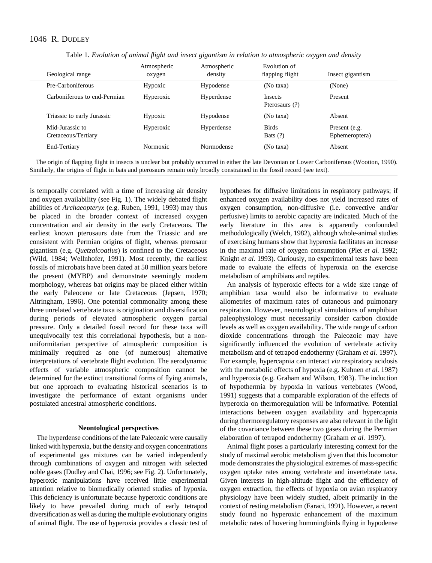# 1046 R. DUDLEY

| Geological range                       | Atmospheric<br>oxygen | Atmospheric<br>density | Evolution of<br>flapping flight  | Insect gigantism                |
|----------------------------------------|-----------------------|------------------------|----------------------------------|---------------------------------|
| Pre-Carboniferous                      | Hypoxic               | Hypodense              | (No taxa)                        | (None)                          |
| Carboniferous to end-Permian           | Hyperoxic             | Hyperdense             | <b>Insects</b><br>Pterosaurs (?) | Present                         |
| Triassic to early Jurassic             | Hypoxic               | Hypodense              | (No taxa)                        | Absent                          |
| Mid-Jurassic to<br>Cretaceous/Tertiary | Hyperoxic             | Hyperdense             | <b>Birds</b><br>Bats $(?)$       | Present (e.g.<br>Ephemeroptera) |
| End-Tertiary                           | Normoxic              | Normodense             | (No taxa)                        | Absent                          |

Table 1. *Evolution of animal flight and insect gigantism in relation to atmospheric oxygen and density*

The origin of flapping flight in insects is unclear but probably occurred in either the late Devonian or Lower Carboniferous (Wootton, 1990). Similarly, the origins of flight in bats and pterosaurs remain only broadly constrained in the fossil record (see text).

is temporally correlated with a time of increasing air density and oxygen availability (see Fig. 1). The widely debated flight abilities of *Archaeopteryx* (e.g. Ruben, 1991, 1993) may thus be placed in the broader context of increased oxygen concentration and air density in the early Cretaceous. The earliest known pterosaurs date from the Triassic and are consistent with Permian origins of flight, whereas pterosaur gigantism (e.g. *Quetzalcoatlus*) is confined to the Cretaceous (Wild, 1984; Wellnhofer, 1991). Most recently, the earliest fossils of microbats have been dated at 50 million years before the present (MYBP) and demonstrate seemingly modern morphology, whereas bat origins may be placed either within the early Paleocene or late Cretaceous (Jepsen, 1970; Altringham, 1996). One potential commonality among these three unrelated vertebrate taxa is origination and diversification during periods of elevated atmospheric oxygen partial pressure. Only a detailed fossil record for these taxa will unequivocally test this correlational hypothesis, but a nonuniformitarian perspective of atmospheric composition is minimally required as one (of numerous) alternative interpretations of vertebrate flight evolution. The aerodynamic effects of variable atmospheric composition cannot be determined for the extinct transitional forms of flying animals, but one approach to evaluating historical scenarios is to investigate the performance of extant organisms under postulated ancestral atmospheric conditions.

### **Neontological perspectives**

The hyperdense conditions of the late Paleozoic were causally linked with hyperoxia, but the density and oxygen concentrations of experimental gas mixtures can be varied independently through combinations of oxygen and nitrogen with selected noble gases (Dudley and Chai, 1996; see Fig. 2). Unfortunately, hyperoxic manipulations have received little experimental attention relative to biomedically oriented studies of hypoxia. This deficiency is unfortunate because hyperoxic conditions are likely to have prevailed during much of early tetrapod diversification as well as during the multiple evolutionary origins of animal flight. The use of hyperoxia provides a classic test of hypotheses for diffusive limitations in respiratory pathways; if enhanced oxygen availability does not yield increased rates of oxygen consumption, non-diffusive (i.e. convective and/or perfusive) limits to aerobic capacity are indicated. Much of the early literature in this area is apparently confounded methodologically (Welch, 1982), although whole-animal studies of exercising humans show that hyperoxia facilitates an increase in the maximal rate of oxygen consumption (Plet *et al.* 1992; Knight *et al.* 1993). Curiously, no experimental tests have been made to evaluate the effects of hyperoxia on the exercise metabolism of amphibians and reptiles.

An analysis of hyperoxic effects for a wide size range of amphibian taxa would also be informative to evaluate allometries of maximum rates of cutaneous and pulmonary respiration. However, neontological simulations of amphibian paleophysiology must necessarily consider carbon dioxide levels as well as oxygen availability. The wide range of carbon dioxide concentrations through the Paleozoic may have significantly influenced the evolution of vertebrate activity metabolism and of tetrapod endothermy (Graham *et al.* 1997). For example, hypercapnia can interact *via* respiratory acidosis with the metabolic effects of hypoxia (e.g. Kuhnen *et al.* 1987) and hyperoxia (e.g. Graham and Wilson, 1983). The induction of hypothermia by hypoxia in various vertebrates (Wood, 1991) suggests that a comparable exploration of the effects of hyperoxia on thermoregulation will be informative. Potential interactions between oxygen availability and hypercapnia during thermoregulatory responses are also relevant in the light of the covariance between these two gases during the Permian elaboration of tetrapod endothermy (Graham *et al.* 1997).

Animal flight poses a particularly interesting context for the study of maximal aerobic metabolism given that this locomotor mode demonstrates the physiological extremes of mass-specific oxygen uptake rates among vertebrate and invertebrate taxa. Given interests in high-altitude flight and the efficiency of oxygen extraction, the effects of hypoxia on avian respiratory physiology have been widely studied, albeit primarily in the context of resting metabolism (Faraci, 1991). However, a recent study found no hyperoxic enhancement of the maximum metabolic rates of hovering hummingbirds flying in hypodense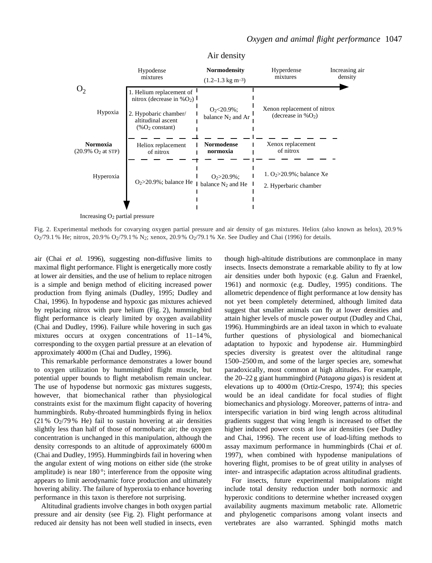

Air density

Increasing  $O_2$  partial pressure

Fig. 2. Experimental methods for covarying oxygen partial pressure and air density of gas mixtures. Heliox (also known as helox), 20.9 %  $O_2/79.1$  % He; nitrox, 20.9 %  $O_2/79.1$  % N<sub>2</sub>; xenox, 20.9 %  $O_2/79.1$  % Xe. See Dudley and Chai (1996) for details.

air (Chai *et al.* 1996), suggesting non-diffusive limits to maximal flight performance. Flight is energetically more costly at lower air densities, and the use of helium to replace nitrogen is a simple and benign method of eliciting increased power production from flying animals (Dudley, 1995; Dudley and Chai, 1996). In hypodense and hypoxic gas mixtures achieved by replacing nitrox with pure helium (Fig. 2), hummingbird flight performance is clearly limited by oxygen availability (Chai and Dudley, 1996). Failure while hovering in such gas mixtures occurs at oxygen concentrations of 11–14 %, corresponding to the oxygen partial pressure at an elevation of approximately 4000 m (Chai and Dudley, 1996).

This remarkable performance demonstrates a lower bound to oxygen utilization by hummingbird flight muscle, but potential upper bounds to flight metabolism remain unclear. The use of hypodense but normoxic gas mixtures suggests, however, that biomechanical rather than physiological constraints exist for the maximum flight capacity of hovering hummingbirds. Ruby-throated hummingbirds flying in heliox (21 %  $O<sub>2</sub>/79$  % He) fail to sustain hovering at air densities slightly less than half of those of normobaric air; the oxygen concentration is unchanged in this manipulation, although the density corresponds to an altitude of approximately 6000 m (Chai and Dudley, 1995). Hummingbirds fail in hovering when the angular extent of wing motions on either side (the stroke amplitude) is near  $180^\circ$ ; interference from the opposite wing appears to limit aerodynamic force production and ultimately hovering ability. The failure of hyperoxia to enhance hovering performance in this taxon is therefore not surprising.

Altitudinal gradients involve changes in both oxygen partial pressure and air density (see Fig. 2). Flight performance at reduced air density has not been well studied in insects, even though high-altitude distributions are commonplace in many insects. Insects demonstrate a remarkable ability to fly at low air densities under both hypoxic (e.g. Galun and Fraenkel, 1961) and normoxic (e.g. Dudley, 1995) conditions. The allometric dependence of flight performance at low density has not yet been completely determined, although limited data suggest that smaller animals can fly at lower densities and attain higher levels of muscle power output (Dudley and Chai, 1996). Hummingbirds are an ideal taxon in which to evaluate further questions of physiological and biomechanical adaptation to hypoxic and hypodense air. Hummingbird species diversity is greatest over the altitudinal range 1500–2500 m, and some of the larger species are, somewhat paradoxically, most common at high altitudes. For example, the 20–22 g giant hummingbird (*Patagona gigas*) is resident at elevations up to 4000 m (Ortiz-Crespo, 1974); this species would be an ideal candidate for focal studies of flight biomechanics and physiology. Moreover, patterns of intra- and interspecific variation in bird wing length across altitudinal gradients suggest that wing length is increased to offset the higher induced power costs at low air densities (see Dudley and Chai, 1996). The recent use of load-lifting methods to assay maximum performance in hummingbirds (Chai *et al.* 1997), when combined with hypodense manipulations of hovering flight, promises to be of great utility in analyses of inter- and intraspecific adaptation across altitudinal gradients.

For insects, future experimental manipulations might include total density reduction under both normoxic and hyperoxic conditions to determine whether increased oxygen availability augments maximum metabolic rate. Allometric and phylogenetic comparisons among volant insects and vertebrates are also warranted. Sphingid moths match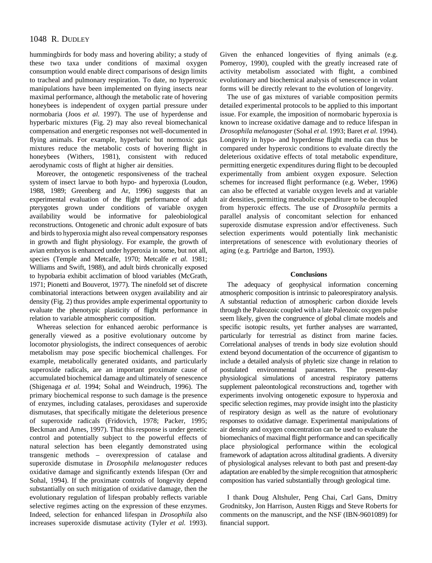# 1048 R. DUDLEY

hummingbirds for body mass and hovering ability; a study of these two taxa under conditions of maximal oxygen consumption would enable direct comparisons of design limits to tracheal and pulmonary respiration. To date, no hyperoxic manipulations have been implemented on flying insects near maximal performance, although the metabolic rate of hovering honeybees is independent of oxygen partial pressure under normobaria (Joos *et al.* 1997). The use of hyperdense and hyperbaric mixtures (Fig. 2) may also reveal biomechanical compensation and energetic responses not well-documented in flying animals. For example, hyperbaric but normoxic gas mixtures reduce the metabolic costs of hovering flight in honeybees (Withers, 1981), consistent with reduced aerodynamic costs of flight at higher air densities.

Moreover, the ontogenetic responsiveness of the tracheal system of insect larvae to both hypo- and hyperoxia (Loudon, 1988, 1989; Greenberg and Ar, 1996) suggests that an experimental evaluation of the flight performance of adult pterygotes grown under conditions of variable oxygen availability would be informative for paleobiological reconstructions. Ontogenetic and chronic adult exposure of bats and birds to hyperoxia might also reveal compensatory responses in growth and flight physiology. For example, the growth of avian embryos is enhanced under hyperoxia in some, but not all, species (Temple and Metcalfe, 1970; Metcalfe *et al.* 1981; Williams and Swift, 1988), and adult birds chronically exposed to hypobaria exhibit acclimation of blood variables (McGrath, 1971; Pionetti and Bouverot, 1977). The ninefold set of discrete combinatorial interactions between oxygen availability and air density (Fig. 2) thus provides ample experimental opportunity to evaluate the phenotypic plasticity of flight performance in relation to variable atmospheric composition.

Whereas selection for enhanced aerobic performance is generally viewed as a positive evolutionary outcome by locomotor physiologists, the indirect consequences of aerobic metabolism may pose specific biochemical challenges. For example, metabolically generated oxidants, and particularly superoxide radicals, are an important proximate cause of accumulated biochemical damage and ultimately of senescence (Shigenaga *et al.* 1994; Sohal and Weindruch, 1996). The primary biochemical response to such damage is the presence of enzymes, including catalases, peroxidases and superoxide dismutases, that specifically mitigate the deleterious presence of superoxide radicals (Fridovich, 1978; Packer, 1995; Beckman and Ames, 1997). That this response is under genetic control and potentially subject to the powerful effects of natural selection has been elegantly demonstrated using transgenic methods – overexpression of catalase and superoxide dismutase in *Drosophila melanogaster* reduces oxidative damage and significantly extends lifespan (Orr and Sohal, 1994). If the proximate controls of longevity depend substantially on such mitigation of oxidative damage, then the evolutionary regulation of lifespan probably reflects variable selective regimes acting on the expression of these enzymes. Indeed, selection for enhanced lifespan in *Drosophila* also increases superoxide dismutase activity (Tyler *et al.* 1993).

Given the enhanced longevities of flying animals (e.g. Pomeroy, 1990), coupled with the greatly increased rate of activity metabolism associated with flight, a combined evolutionary and biochemical analysis of senescence in volant forms will be directly relevant to the evolution of longevity.

The use of gas mixtures of variable composition permits detailed experimental protocols to be applied to this important issue. For example, the imposition of normobaric hyperoxia is known to increase oxidative damage and to reduce lifespan in *Drosophila melanogaster* (Sohal *et al.* 1993; Baret *et al.* 1994). Longevity in hypo- and hyperdense flight media can thus be compared under hyperoxic conditions to evaluate directly the deleterious oxidative effects of total metabolic expenditure, permitting energetic expenditures during flight to be decoupled experimentally from ambient oxygen exposure. Selection schemes for increased flight performance (e.g. Weber, 1996) can also be effected at variable oxygen levels and at variable air densities, permitting metabolic expenditure to be decoupled from hyperoxic effects. The use of *Drosophila* permits a parallel analysis of concomitant selection for enhanced superoxide dismutase expression and/or effectiveness. Such selection experiments would potentially link mechanistic interpretations of senescence with evolutionary theories of aging (e.g. Partridge and Barton, 1993).

### **Conclusions**

The adequacy of geophysical information concerning atmospheric composition is intrinsic to paleorespiratory analysis. A substantial reduction of atmospheric carbon dioxide levels through the Paleozoic coupled with a late Paleozoic oxygen pulse seem likely, given the congruence of global climate models and specific isotopic results, yet further analyses are warranted, particularly for terrestrial as distinct from marine facies. Correlational analyses of trends in body size evolution should extend beyond documentation of the occurrence of gigantism to include a detailed analysis of phyletic size change in relation to postulated environmental parameters. The present-day physiological simulations of ancestral respiratory patterns supplement paleontological reconstructions and, together with experiments involving ontogenetic exposure to hyperoxia and specific selection regimes, may provide insight into the plasticity of respiratory design as well as the nature of evolutionary responses to oxidative damage. Experimental manipulations of air density and oxygen concentration can be used to evaluate the biomechanics of maximal flight performance and can specifically place physiological performance within the ecological framework of adaptation across altitudinal gradients. A diversity of physiological analyses relevant to both past and present-day adaptation are enabled by the simple recognition that atmospheric composition has varied substantially through geological time.

I thank Doug Altshuler, Peng Chai, Carl Gans, Dmitry Grodnitsky, Jon Harrison, Austen Riggs and Steve Roberts for comments on the manuscript, and the NSF (IBN-9601089) for financial support.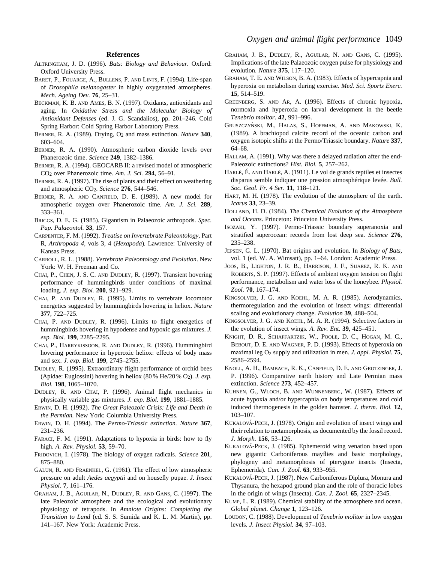#### **References**

- ALTRINGHAM, J. D. (1996). *Bats: Biology and Behaviour.* Oxford: Oxford University Press.
- BARET, P., FOUARGE, A., BULLENS, P. AND LINTS, F. (1994). Life-span of *Drosophila melanogaster* in highly oxygenated atmospheres. *Mech. Ageing Dev.* **76**, 25–31.
- BECKMAN, K. B. AND AMES, B. N. (1997). Oxidants, antioxidants and aging. In *Oxidative Stress and the Molecular Biology of Antioxidant Defenses* (ed. J. G. Scandalios), pp. 201–246. Cold Spring Harbor: Cold Spring Harbor Laboratory Press.
- BERNER, R. A. (1989). Drying, O2 and mass extinction. *Nature* **340**, 603–604.
- BERNER, R. A. (1990). Atmospheric carbon dioxide levels over Phanerozoic time. *Science* **249**, 1382–1386.
- BERNER, R. A. (1994). GEOCARB II: a revised model of atmospheric CO2 over Phanerozoic time. *Am. J. Sci.* **294**, 56–91.
- BERNER, R. A. (1997). The rise of plants and their effect on weathering and atmospheric CO2. *Science* **276**, 544–546.
- BERNER, R. A. AND CANFIELD, D. E. (1989). A new model for atmospheric oxygen over Phanerozoic time. *Am. J. Sci.* **289**, 333–361.
- BRIGGS, D. E. G. (1985). Gigantism in Palaeozoic arthropods. *Spec. Pap. Palaeontol.* **33**, 157.
- CARPENTER, F. M. (1992). *Treatise on Invertebrate Paleontology*, Part R, *Arthropoda 4*, vols 3, 4 (*Hexapoda*)*.* Lawrence: University of Kansas Press.
- CARROLL, R. L. (1988). *Vertebrate Paleontology and Evolution*. New York: W. H. Freeman and Co.
- CHAI, P., CHEN, J. S. C. AND DUDLEY, R. (1997). Transient hovering performance of hummingbirds under conditions of maximal loading. *J. exp. Biol.* **200**, 921–929.
- CHAI, P. AND DUDLEY, R. (1995). Limits to vertebrate locomotor energetics suggested by hummingbirds hovering in heliox. *Nature* **377**, 722–725.
- CHAI, P. AND DUDLEY, R. (1996). Limits to flight energetics of hummingbirds hovering in hypodense and hypoxic gas mixtures. *J. exp. Biol.* **199**, 2285–2295.
- CHAI, P., HARRYKISSOON, R. AND DUDLEY, R. (1996). Hummingbird hovering performance in hyperoxic heliox: effects of body mass and sex. *J. exp. Biol.* **199**, 2745–2755.
- DUDLEY, R. (1995). Extraordinary flight performance of orchid bees (Apidae: Euglossini) hovering in heliox (80 % He/20 % O2). *J. exp. Biol.* **198**, 1065–1070.
- DUDLEY, R. AND CHAI, P. (1996). Animal flight mechanics in physically variable gas mixtures. *J. exp. Biol.* **199**, 1881–1885.
- ERWIN, D. H. (1992). *The Great Paleozoic Crisis: Life and Death in the Permian.* New York: Columbia University Press.
- ERWIN, D. H. (1994). The *Permo-Triassic extinction. Nature* **367**, 231–236.
- FARACI, F. M. (1991). Adaptations to hypoxia in birds: how to fly high. *A. Rev. Physiol.* **53**, 59–70.
- FRIDOVICH, I. (1978). The biology of oxygen radicals. *Science* **201**, 875–880.
- GALUN, R. AND FRAENKEL, G. (1961). The effect of low atmospheric pressure on adult *Aedes aegyptii* and on housefly pupae. *J. Insect Physiol.* **7**, 161–176.
- GRAHAM, J. B., AGUILAR, N., DUDLEY, R. AND GANS, C. (1997). The late Paleozoic atmosphere and the ecological and evolutionary physiology of tetrapods. In *Amniote Origins: Completing the Transition to Land* (ed. S. S. Sumida and K. L. M. Martin), pp. 141–167. New York: Academic Press.
- GRAHAM, J. B., DUDLEY, R., AGUILAR, N. AND GANS, C. (1995). Implications of the late Palaeozoic oxygen pulse for physiology and evolution. *Nature* **375**, 117–120.
- GRAHAM, T. E. AND WILSON, B. A. (1983). Effects of hypercapnia and hyperoxia on metabolism during exercise. *Med. Sci. Sports Exerc.* **15**, 514–519.
- GREENBERG, S. AND AR, A. (1996). Effects of chronic hypoxia, normoxia and hyperoxia on larval development in the beetle *Tenebrio molitor*. **42**, 991–996.
- GRUSZCZYŃSKI, M., HALAS, S., HOFFMAN, A. AND MAKOWSKI, K. (1989). A brachiopod calcite record of the oceanic carbon and oxygen isotopic shifts at the Permo/Triassic boundary. *Nature* **337**, 64–68.
- HALLAM, A. (1991). Why was there a delayed radiation after the end-Paleozoic extinctions? *Hist. Biol.* **5**, 257–262.
- HARLÉ, É. AND HARLÉ, A. (1911). Le vol de grands reptiles et insectes disparus semble indiquer une pression atmosphérique levée. *Bull. Soc. Geol. Fr. 4 Ser.* **11**, 118–121.
- HART, M. H. (1978). The evolution of the atmosphere of the earth. *Icarus* **33**, 23–39.
- HOLLAND, H. D. (1984). *The Chemical Evolution of the Atmosphere and Oceans*. Princeton: Princeton University Press.
- ISOZAKI, Y. (1997). Permo-Triassic boundary superanoxia and stratified superocean: records from lost deep sea. *Science* **276**, 235–238.
- JEPSEN, G. L. (1970). Bat origins and evolution. In *Biology of Bats*, vol. 1 (ed. W. A. Wimsatt), pp. 1–64. London: Academic Press.
- JOOS, B., LIGHTON, J. R. B., HARRISON, J. F., SUAREZ, R. K. AND ROBERTS, S. P. (1997). Effects of ambient oxygen tension on flight performance, metabolism and water loss of the honeybee. *Physiol. Zool.* **70**, 167–174.
- KINGSOLVER, J. G. AND KOEHL, M. A. R. (1985). Aerodynamics, thermoregulation and the evolution of insect wings: differential scaling and evolutionary change. *Evolution* **39**, 488–504.
- KINGSOLVER, J. G. AND KOEHL, M. A. R. (1994). Selective factors in the evolution of insect wings. *A. Rev. Ent.* **39**, 425–451.
- KNIGHT, D. R., SCHAFFARTZIK, W., POOLE, D. C., HOGAN, M. C., BEBOUT, D. E. AND WAGNER, P. D. (1993). Effects of hyperoxia on maximal leg O2 supply and utilization in men. *J. appl. Physiol.* **75**, 2586–2594.
- KNOLL, A. H., BAMBACH, R. K., CANFIELD, D. E. AND GROTZINGER, J. P. (1996). Comparative earth history and Late Permian mass extinction. *Science* **273**, 452–457.
- KUHNEN, G., WLOCH, B. AND WUNNENBERG, W. (1987). Effects of acute hypoxia and/or hypercapnia on body temperatures and cold induced thermogenesis in the golden hamster. *J. therm. Biol.* **12**, 103–107.
- KUKALOVA´-PECK, J. (1978). Origin and evolution of insect wings and their relation to metamorphosis, as documented by the fossil record. *J. Morph.* **156**, 53–126.
- KUKALOVÁ-PECK, J. (1985). Ephemeroid wing venation based upon new gigantic Carboniferous mayflies and basic morphology, phylogeny and metamorphosis of pterygote insects (Insecta, Ephemerida). *Can. J. Zool.* **63**, 933–955.
- KUKALOVÁ-PECK, J. (1987). New Carboniferous Diplura, Monura and Thysanura, the hexapod ground plan and the role of thoracic lobes in the origin of wings (Insecta). *Can. J. Zool.* **65**, 2327–2345.
- KUMP, L. R. (1989). Chemical stability of the atmosphere and ocean. *Global planet. Change* **1**, 123–126.
- LOUDON, C. (1988). Development of *Tenebrio molitor* in low oxygen levels. *J. Insect Physiol.* **34**, 97–103.